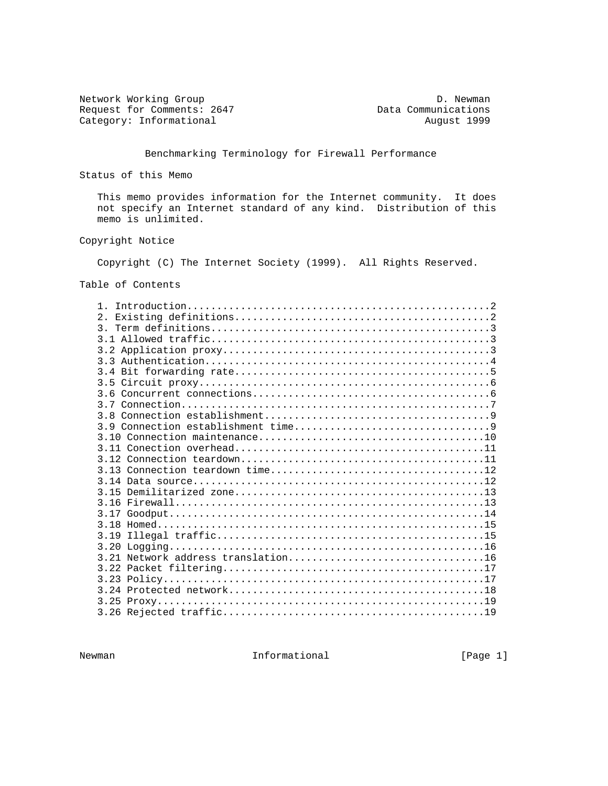Network Working Group<br>
Request for Comments: 2647 Data Communications Category: Informational

Data Communications<br>August 1999

Benchmarking Terminology for Firewall Performance

Status of this Memo

 This memo provides information for the Internet community. It does not specify an Internet standard of any kind. Distribution of this memo is unlimited.

## Copyright Notice

Copyright (C) The Internet Society (1999). All Rights Reserved.

Table of Contents

Newman **Informational Informational Informational** [Page 1]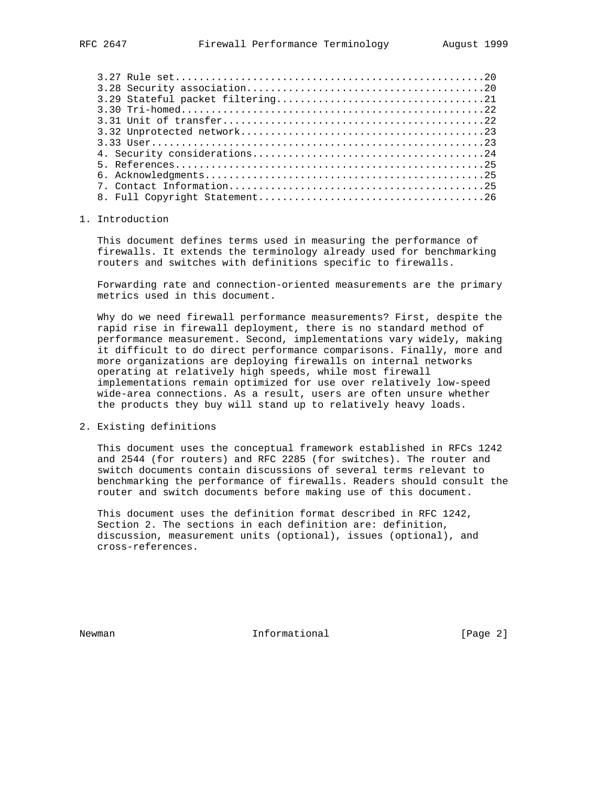#### 1. Introduction

 This document defines terms used in measuring the performance of firewalls. It extends the terminology already used for benchmarking routers and switches with definitions specific to firewalls.

 Forwarding rate and connection-oriented measurements are the primary metrics used in this document.

 Why do we need firewall performance measurements? First, despite the rapid rise in firewall deployment, there is no standard method of performance measurement. Second, implementations vary widely, making it difficult to do direct performance comparisons. Finally, more and more organizations are deploying firewalls on internal networks operating at relatively high speeds, while most firewall implementations remain optimized for use over relatively low-speed wide-area connections. As a result, users are often unsure whether the products they buy will stand up to relatively heavy loads.

## 2. Existing definitions

 This document uses the conceptual framework established in RFCs 1242 and 2544 (for routers) and RFC 2285 (for switches). The router and switch documents contain discussions of several terms relevant to benchmarking the performance of firewalls. Readers should consult the router and switch documents before making use of this document.

 This document uses the definition format described in RFC 1242, Section 2. The sections in each definition are: definition, discussion, measurement units (optional), issues (optional), and cross-references.

Newman **Informational Informational Informational** [Page 2]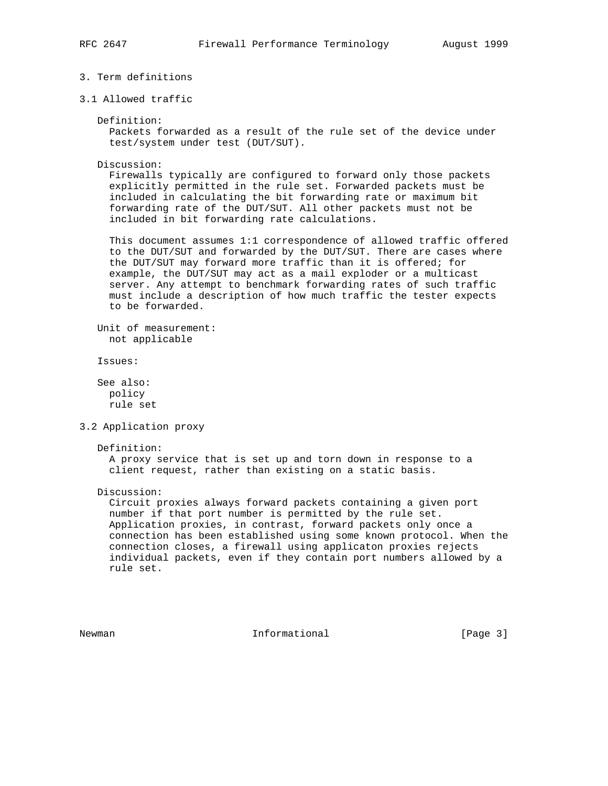# 3. Term definitions

3.1 Allowed traffic

Definition:

 Packets forwarded as a result of the rule set of the device under test/system under test (DUT/SUT).

Discussion:

 Firewalls typically are configured to forward only those packets explicitly permitted in the rule set. Forwarded packets must be included in calculating the bit forwarding rate or maximum bit forwarding rate of the DUT/SUT. All other packets must not be included in bit forwarding rate calculations.

 This document assumes 1:1 correspondence of allowed traffic offered to the DUT/SUT and forwarded by the DUT/SUT. There are cases where the DUT/SUT may forward more traffic than it is offered; for example, the DUT/SUT may act as a mail exploder or a multicast server. Any attempt to benchmark forwarding rates of such traffic must include a description of how much traffic the tester expects to be forwarded.

 Unit of measurement: not applicable

Issues:

 See also: policy rule set

3.2 Application proxy

### Definition:

 A proxy service that is set up and torn down in response to a client request, rather than existing on a static basis.

Discussion:

 Circuit proxies always forward packets containing a given port number if that port number is permitted by the rule set. Application proxies, in contrast, forward packets only once a connection has been established using some known protocol. When the connection closes, a firewall using applicaton proxies rejects individual packets, even if they contain port numbers allowed by a rule set.

Newman **Informational Informational Informational** [Page 3]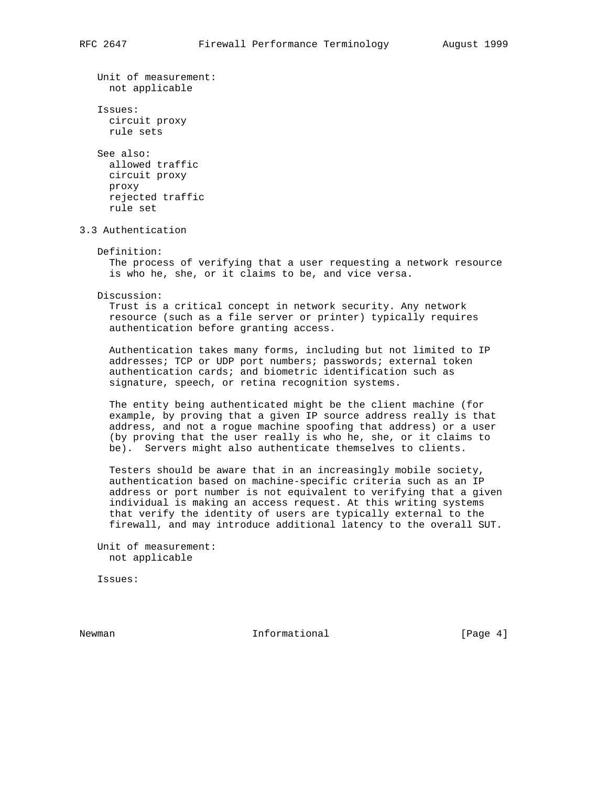Unit of measurement: not applicable Issues: circuit proxy rule sets See also: allowed traffic circuit proxy proxy rejected traffic rule set 3.3 Authentication Definition: The process of verifying that a user requesting a network resource is who he, she, or it claims to be, and vice versa. Discussion: Trust is a critical concept in network security. Any network resource (such as a file server or printer) typically requires authentication before granting access. Authentication takes many forms, including but not limited to IP addresses; TCP or UDP port numbers; passwords; external token authentication cards; and biometric identification such as signature, speech, or retina recognition systems. The entity being authenticated might be the client machine (for example, by proving that a given IP source address really is that address, and not a rogue machine spoofing that address) or a user (by proving that the user really is who he, she, or it claims to be). Servers might also authenticate themselves to clients. Testers should be aware that in an increasingly mobile society, authentication based on machine-specific criteria such as an IP address or port number is not equivalent to verifying that a given individual is making an access request. At this writing systems that verify the identity of users are typically external to the firewall, and may introduce additional latency to the overall SUT. Unit of measurement: not applicable

Issues:

Newman **Informational Informational Informational I**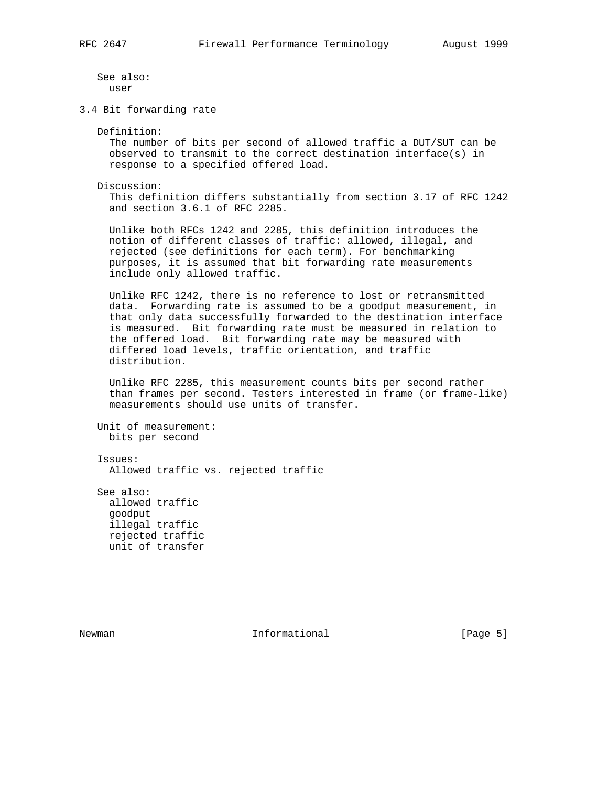See also: user

3.4 Bit forwarding rate

Definition:

 The number of bits per second of allowed traffic a DUT/SUT can be observed to transmit to the correct destination interface(s) in response to a specified offered load.

Discussion:

 This definition differs substantially from section 3.17 of RFC 1242 and section 3.6.1 of RFC 2285.

 Unlike both RFCs 1242 and 2285, this definition introduces the notion of different classes of traffic: allowed, illegal, and rejected (see definitions for each term). For benchmarking purposes, it is assumed that bit forwarding rate measurements include only allowed traffic.

 Unlike RFC 1242, there is no reference to lost or retransmitted data. Forwarding rate is assumed to be a goodput measurement, in that only data successfully forwarded to the destination interface is measured. Bit forwarding rate must be measured in relation to the offered load. Bit forwarding rate may be measured with differed load levels, traffic orientation, and traffic distribution.

 Unlike RFC 2285, this measurement counts bits per second rather than frames per second. Testers interested in frame (or frame-like) measurements should use units of transfer.

 Unit of measurement: bits per second

 Issues: Allowed traffic vs. rejected traffic

 See also: allowed traffic goodput illegal traffic rejected traffic unit of transfer

Newman **Informational Informational Informational** [Page 5]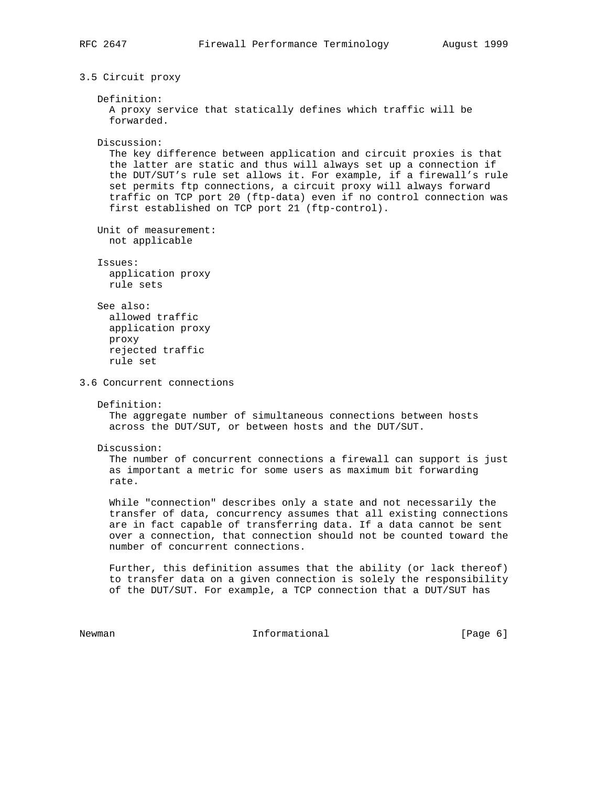3.5 Circuit proxy

```
 Definition:
      A proxy service that statically defines which traffic will be
      forwarded.
   Discussion:
      The key difference between application and circuit proxies is that
      the latter are static and thus will always set up a connection if
      the DUT/SUT's rule set allows it. For example, if a firewall's rule
      set permits ftp connections, a circuit proxy will always forward
      traffic on TCP port 20 (ftp-data) even if no control connection was
      first established on TCP port 21 (ftp-control).
   Unit of measurement:
     not applicable
    Issues:
     application proxy
     rule sets
    See also:
      allowed traffic
     application proxy
     proxy
     rejected traffic
      rule set
3.6 Concurrent connections
   Definition:
     The aggregate number of simultaneous connections between hosts
      across the DUT/SUT, or between hosts and the DUT/SUT.
   Discussion:
      The number of concurrent connections a firewall can support is just
      as important a metric for some users as maximum bit forwarding
      rate.
      While "connection" describes only a state and not necessarily the
      transfer of data, concurrency assumes that all existing connections
      are in fact capable of transferring data. If a data cannot be sent
      over a connection, that connection should not be counted toward the
      number of concurrent connections.
     Further, this definition assumes that the ability (or lack thereof)
      to transfer data on a given connection is solely the responsibility
     of the DUT/SUT. For example, a TCP connection that a DUT/SUT has
```
Newman **Informational Informational Informational** [Page 6]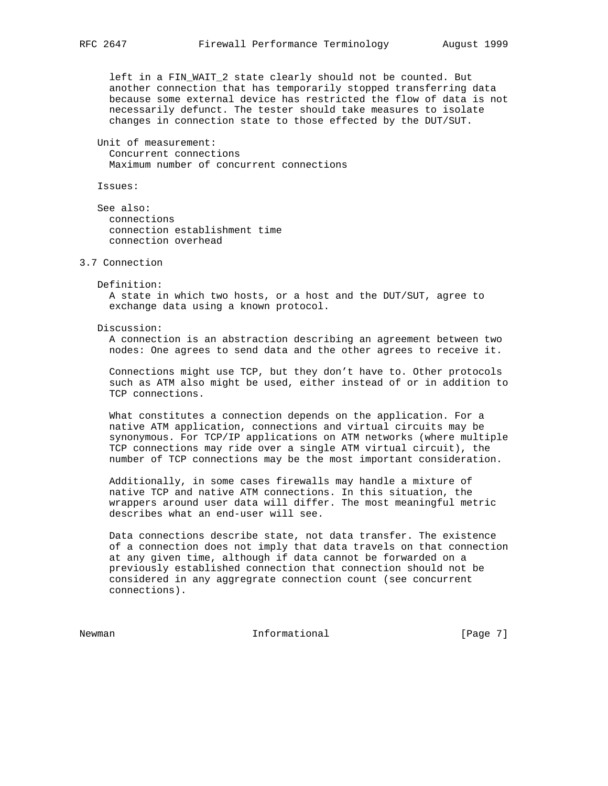left in a FIN\_WAIT\_2 state clearly should not be counted. But another connection that has temporarily stopped transferring data because some external device has restricted the flow of data is not necessarily defunct. The tester should take measures to isolate changes in connection state to those effected by the DUT/SUT.

 Unit of measurement: Concurrent connections Maximum number of concurrent connections

Issues:

 See also: connections connection establishment time connection overhead

## 3.7 Connection

 Definition: A state in which two hosts, or a host and the DUT/SUT, agree to

exchange data using a known protocol.

Discussion:

 A connection is an abstraction describing an agreement between two nodes: One agrees to send data and the other agrees to receive it.

 Connections might use TCP, but they don't have to. Other protocols such as ATM also might be used, either instead of or in addition to TCP connections.

 What constitutes a connection depends on the application. For a native ATM application, connections and virtual circuits may be synonymous. For TCP/IP applications on ATM networks (where multiple TCP connections may ride over a single ATM virtual circuit), the number of TCP connections may be the most important consideration.

 Additionally, in some cases firewalls may handle a mixture of native TCP and native ATM connections. In this situation, the wrappers around user data will differ. The most meaningful metric describes what an end-user will see.

 Data connections describe state, not data transfer. The existence of a connection does not imply that data travels on that connection at any given time, although if data cannot be forwarded on a previously established connection that connection should not be considered in any aggregrate connection count (see concurrent connections).

Newman **Informational Informational Informational** [Page 7]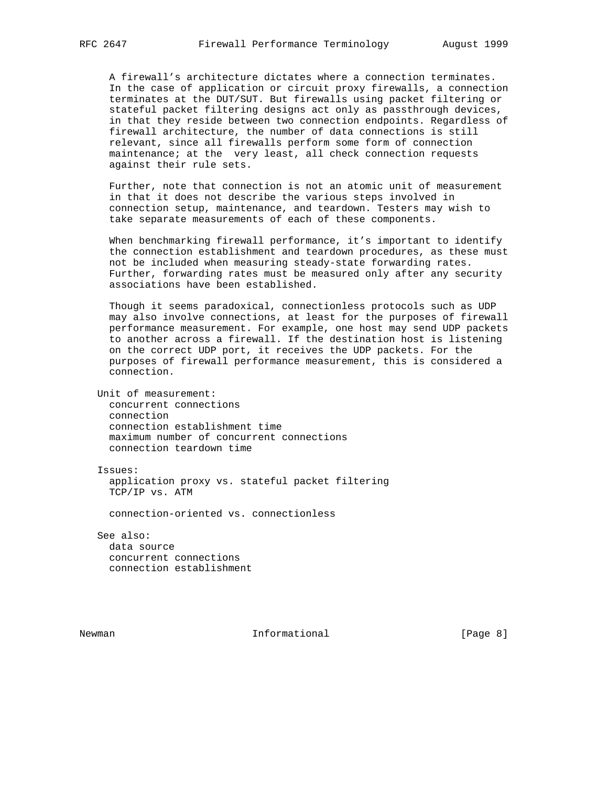A firewall's architecture dictates where a connection terminates. In the case of application or circuit proxy firewalls, a connection terminates at the DUT/SUT. But firewalls using packet filtering or stateful packet filtering designs act only as passthrough devices, in that they reside between two connection endpoints. Regardless of firewall architecture, the number of data connections is still relevant, since all firewalls perform some form of connection maintenance; at the very least, all check connection requests against their rule sets.

 Further, note that connection is not an atomic unit of measurement in that it does not describe the various steps involved in connection setup, maintenance, and teardown. Testers may wish to take separate measurements of each of these components.

 When benchmarking firewall performance, it's important to identify the connection establishment and teardown procedures, as these must not be included when measuring steady-state forwarding rates. Further, forwarding rates must be measured only after any security associations have been established.

 Though it seems paradoxical, connectionless protocols such as UDP may also involve connections, at least for the purposes of firewall performance measurement. For example, one host may send UDP packets to another across a firewall. If the destination host is listening on the correct UDP port, it receives the UDP packets. For the purposes of firewall performance measurement, this is considered a connection.

 Unit of measurement: concurrent connections connection connection establishment time maximum number of concurrent connections connection teardown time

 Issues: application proxy vs. stateful packet filtering TCP/IP vs. ATM

connection-oriented vs. connectionless

 See also: data source concurrent connections connection establishment

Newman **Informational Informational Informational I**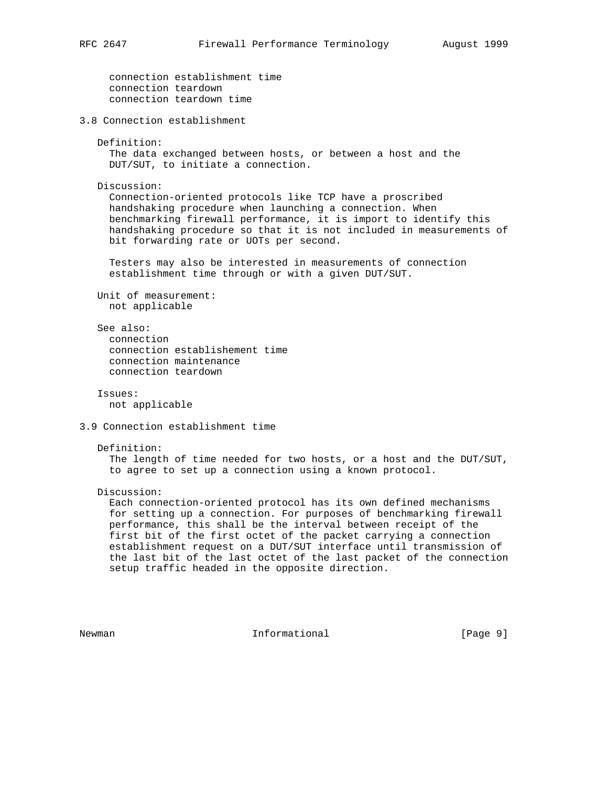```
 connection establishment time
      connection teardown
      connection teardown time
3.8 Connection establishment
   Definition:
      The data exchanged between hosts, or between a host and the
      DUT/SUT, to initiate a connection.
   Discussion:
      Connection-oriented protocols like TCP have a proscribed
      handshaking procedure when launching a connection. When
      benchmarking firewall performance, it is import to identify this
      handshaking procedure so that it is not included in measurements of
      bit forwarding rate or UOTs per second.
      Testers may also be interested in measurements of connection
      establishment time through or with a given DUT/SUT.
   Unit of measurement:
     not applicable
   See also:
     connection
      connection establishement time
      connection maintenance
      connection teardown
    Issues:
     not applicable
3.9 Connection establishment time
   Definition:
      The length of time needed for two hosts, or a host and the DUT/SUT,
      to agree to set up a connection using a known protocol.
   Discussion:
      Each connection-oriented protocol has its own defined mechanisms
      for setting up a connection. For purposes of benchmarking firewall
      performance, this shall be the interval between receipt of the
      first bit of the first octet of the packet carrying a connection
      establishment request on a DUT/SUT interface until transmission of
     the last bit of the last octet of the last packet of the connection
      setup traffic headed in the opposite direction.
```
Newman **Informational Informational Informational I**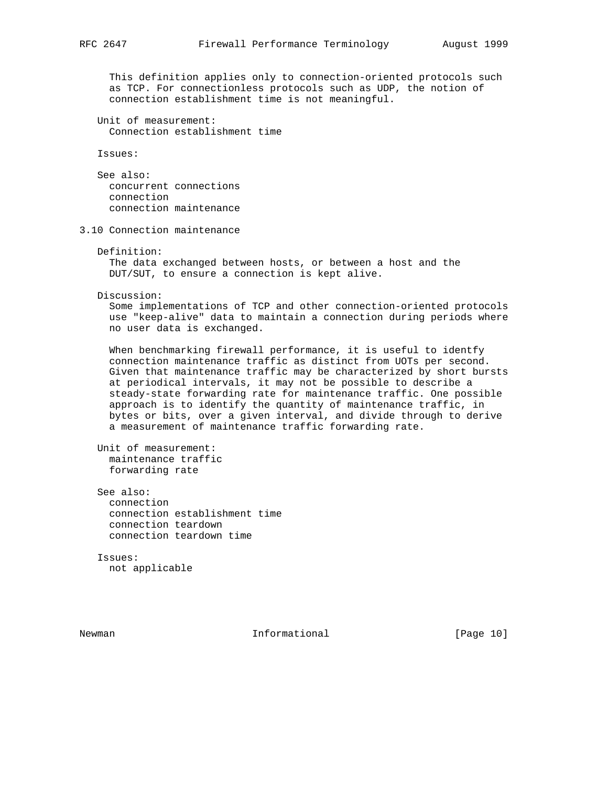This definition applies only to connection-oriented protocols such as TCP. For connectionless protocols such as UDP, the notion of connection establishment time is not meaningful.

 Unit of measurement: Connection establishment time

Issues:

 See also: concurrent connections connection connection maintenance

3.10 Connection maintenance

```
 Definition:
```
 The data exchanged between hosts, or between a host and the DUT/SUT, to ensure a connection is kept alive.

Discussion:

 Some implementations of TCP and other connection-oriented protocols use "keep-alive" data to maintain a connection during periods where no user data is exchanged.

 When benchmarking firewall performance, it is useful to identfy connection maintenance traffic as distinct from UOTs per second. Given that maintenance traffic may be characterized by short bursts at periodical intervals, it may not be possible to describe a steady-state forwarding rate for maintenance traffic. One possible approach is to identify the quantity of maintenance traffic, in bytes or bits, over a given interval, and divide through to derive a measurement of maintenance traffic forwarding rate.

```
 Unit of measurement:
   maintenance traffic
   forwarding rate
```
 See also: connection connection establishment time connection teardown connection teardown time

 Issues: not applicable

Newman 10 1nformational [Page 10]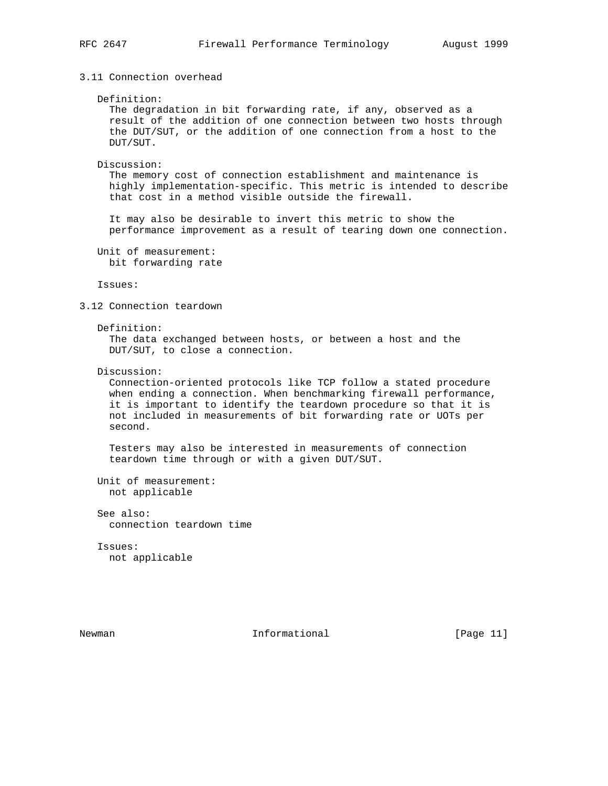# 3.11 Connection overhead

#### Definition:

 The degradation in bit forwarding rate, if any, observed as a result of the addition of one connection between two hosts through the DUT/SUT, or the addition of one connection from a host to the DUT/SUT.

#### Discussion:

 The memory cost of connection establishment and maintenance is highly implementation-specific. This metric is intended to describe that cost in a method visible outside the firewall.

 It may also be desirable to invert this metric to show the performance improvement as a result of tearing down one connection.

 Unit of measurement: bit forwarding rate

Issues:

## 3.12 Connection teardown

#### Definition:

 The data exchanged between hosts, or between a host and the DUT/SUT, to close a connection.

## Discussion:

 Connection-oriented protocols like TCP follow a stated procedure when ending a connection. When benchmarking firewall performance, it is important to identify the teardown procedure so that it is not included in measurements of bit forwarding rate or UOTs per second.

 Testers may also be interested in measurements of connection teardown time through or with a given DUT/SUT.

```
 Unit of measurement:
  not applicable
```
 See also: connection teardown time

 Issues: not applicable

Newman 10 1nformational [Page 11]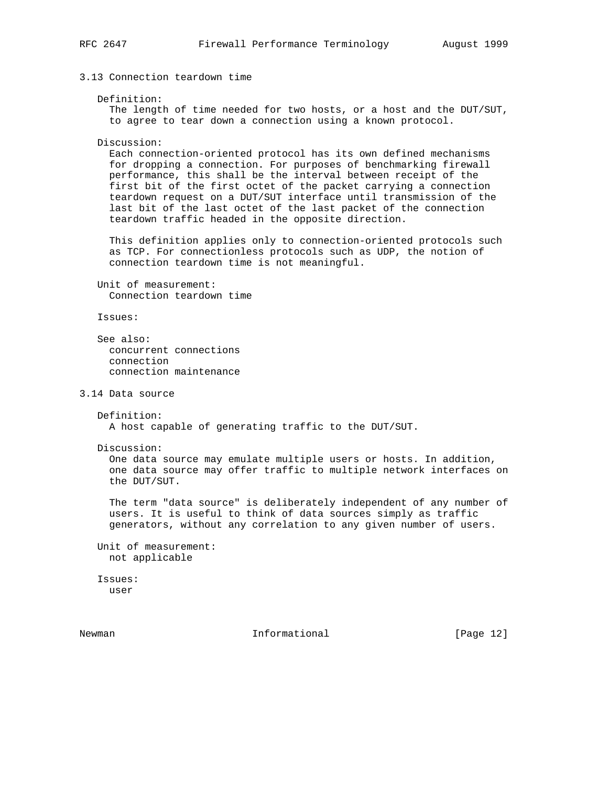```
3.13 Connection teardown time
```

```
 Definition:
```
 The length of time needed for two hosts, or a host and the DUT/SUT, to agree to tear down a connection using a known protocol.

```
 Discussion:
```
 Each connection-oriented protocol has its own defined mechanisms for dropping a connection. For purposes of benchmarking firewall performance, this shall be the interval between receipt of the first bit of the first octet of the packet carrying a connection teardown request on a DUT/SUT interface until transmission of the last bit of the last octet of the last packet of the connection teardown traffic headed in the opposite direction.

 This definition applies only to connection-oriented protocols such as TCP. For connectionless protocols such as UDP, the notion of connection teardown time is not meaningful.

 Unit of measurement: Connection teardown time

Issues:

```
 See also:
  concurrent connections
   connection
   connection maintenance
```
3.14 Data source

```
 Definition:
   A host capable of generating traffic to the DUT/SUT.
```
Discussion:

 One data source may emulate multiple users or hosts. In addition, one data source may offer traffic to multiple network interfaces on the DUT/SUT.

 The term "data source" is deliberately independent of any number of users. It is useful to think of data sources simply as traffic generators, without any correlation to any given number of users.

 Unit of measurement: not applicable

 Issues: user

Newman 10 1nformational [Page 12]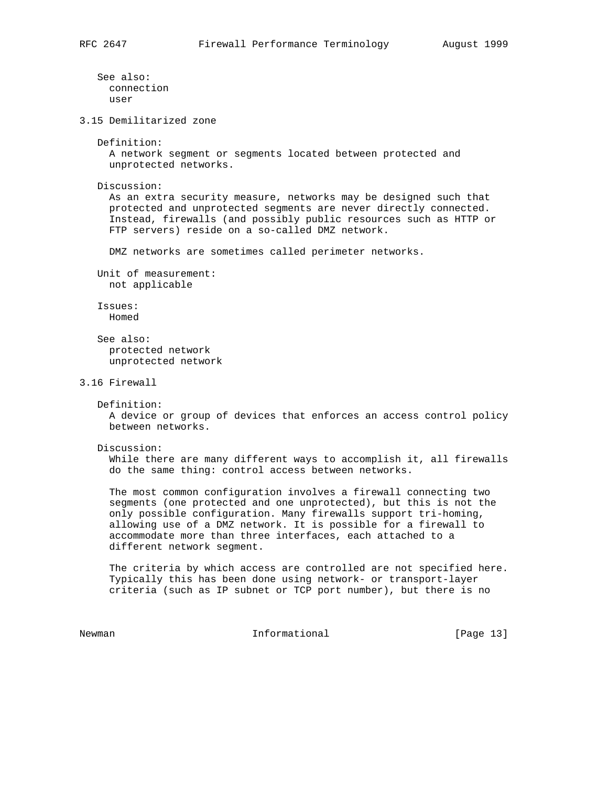See also: connection user 3.15 Demilitarized zone Definition: A network segment or segments located between protected and unprotected networks. Discussion: As an extra security measure, networks may be designed such that protected and unprotected segments are never directly connected. Instead, firewalls (and possibly public resources such as HTTP or FTP servers) reside on a so-called DMZ network. DMZ networks are sometimes called perimeter networks. Unit of measurement: not applicable Issues: Homed See also: protected network unprotected network 3.16 Firewall Definition: A device or group of devices that enforces an access control policy between networks. Discussion: While there are many different ways to accomplish it, all firewalls do the same thing: control access between networks. The most common configuration involves a firewall connecting two segments (one protected and one unprotected), but this is not the only possible configuration. Many firewalls support tri-homing, allowing use of a DMZ network. It is possible for a firewall to accommodate more than three interfaces, each attached to a different network segment. The criteria by which access are controlled are not specified here. Typically this has been done using network- or transport-layer criteria (such as IP subnet or TCP port number), but there is no Newman 10 1nformational [Page 13]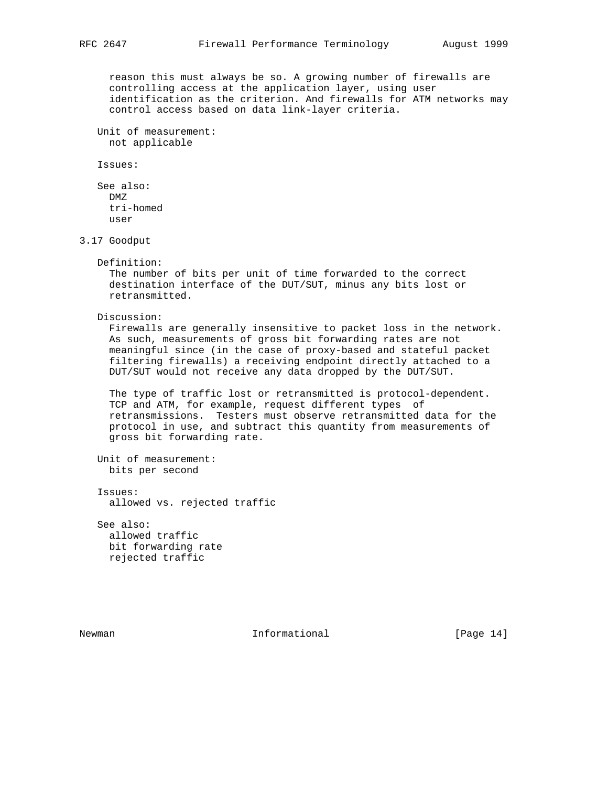reason this must always be so. A growing number of firewalls are controlling access at the application layer, using user identification as the criterion. And firewalls for ATM networks may control access based on data link-layer criteria.

 Unit of measurement: not applicable

Issues:

 See also: DMZ tri-homed user

3.17 Goodput

#### Definition:

 The number of bits per unit of time forwarded to the correct destination interface of the DUT/SUT, minus any bits lost or retransmitted.

Discussion:

 Firewalls are generally insensitive to packet loss in the network. As such, measurements of gross bit forwarding rates are not meaningful since (in the case of proxy-based and stateful packet filtering firewalls) a receiving endpoint directly attached to a DUT/SUT would not receive any data dropped by the DUT/SUT.

 The type of traffic lost or retransmitted is protocol-dependent. TCP and ATM, for example, request different types of retransmissions. Testers must observe retransmitted data for the protocol in use, and subtract this quantity from measurements of gross bit forwarding rate.

 Unit of measurement: bits per second

 Issues: allowed vs. rejected traffic

 See also: allowed traffic bit forwarding rate rejected traffic

Newman 10 1nformational [Page 14]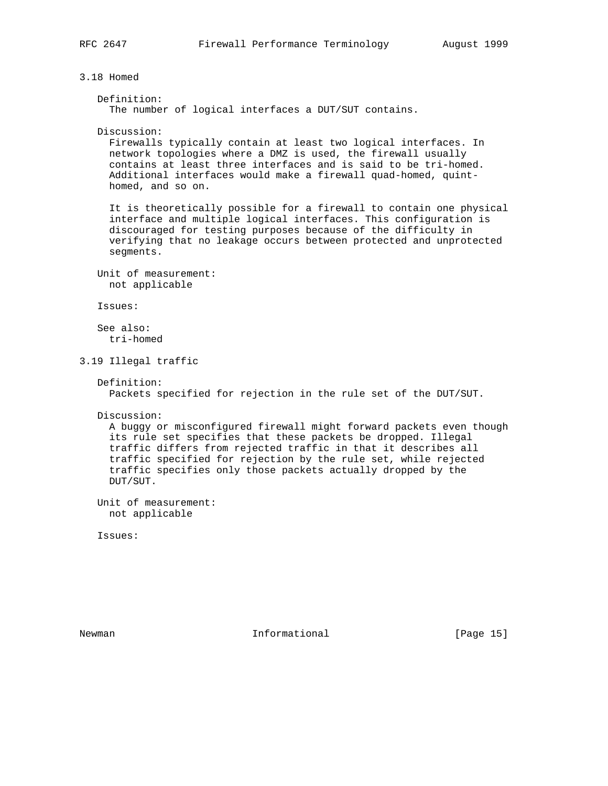3.18 Homed

```
 Definition:
   The number of logical interfaces a DUT/SUT contains.
 Discussion:
```
 Firewalls typically contain at least two logical interfaces. In network topologies where a DMZ is used, the firewall usually contains at least three interfaces and is said to be tri-homed. Additional interfaces would make a firewall quad-homed, quint homed, and so on.

 It is theoretically possible for a firewall to contain one physical interface and multiple logical interfaces. This configuration is discouraged for testing purposes because of the difficulty in verifying that no leakage occurs between protected and unprotected segments.

 Unit of measurement: not applicable

Issues:

 See also: tri-homed

3.19 Illegal traffic

```
 Definition:
  Packets specified for rejection in the rule set of the DUT/SUT.
```
Discussion:

 A buggy or misconfigured firewall might forward packets even though its rule set specifies that these packets be dropped. Illegal traffic differs from rejected traffic in that it describes all traffic specified for rejection by the rule set, while rejected traffic specifies only those packets actually dropped by the DUT/SUT.

 Unit of measurement: not applicable

Issues:

Newman 10 1nformational [Page 15]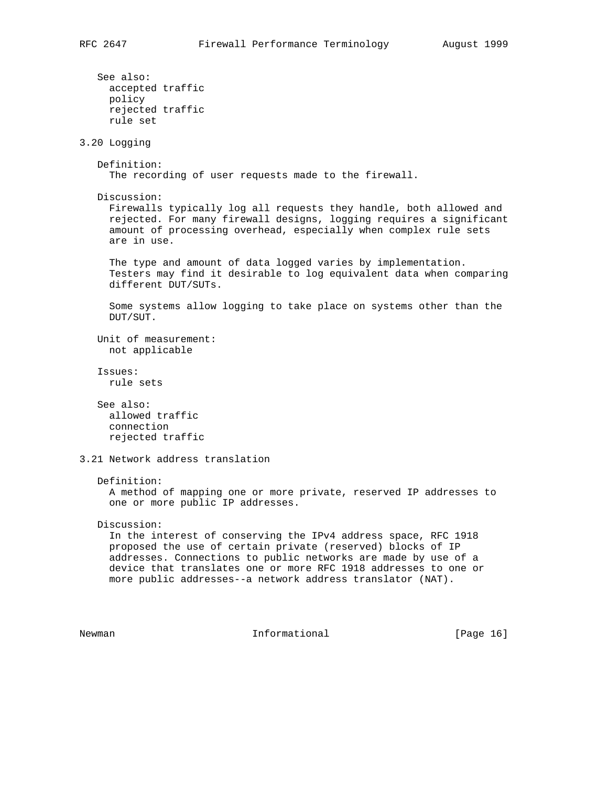```
 See also:
     accepted traffic
      policy
     rejected traffic
     rule set
3.20 Logging
    Definition:
      The recording of user requests made to the firewall.
   Discussion:
      Firewalls typically log all requests they handle, both allowed and
      rejected. For many firewall designs, logging requires a significant
      amount of processing overhead, especially when complex rule sets
      are in use.
      The type and amount of data logged varies by implementation.
      Testers may find it desirable to log equivalent data when comparing
      different DUT/SUTs.
      Some systems allow logging to take place on systems other than the
     DUT/SUT.
    Unit of measurement:
     not applicable
    Issues:
     rule sets
    See also:
     allowed traffic
      connection
     rejected traffic
3.21 Network address translation
    Definition:
      A method of mapping one or more private, reserved IP addresses to
      one or more public IP addresses.
   Discussion:
      In the interest of conserving the IPv4 address space, RFC 1918
     proposed the use of certain private (reserved) blocks of IP
      addresses. Connections to public networks are made by use of a
      device that translates one or more RFC 1918 addresses to one or
     more public addresses--a network address translator (NAT).
Newman 1nformational [Page 16]
```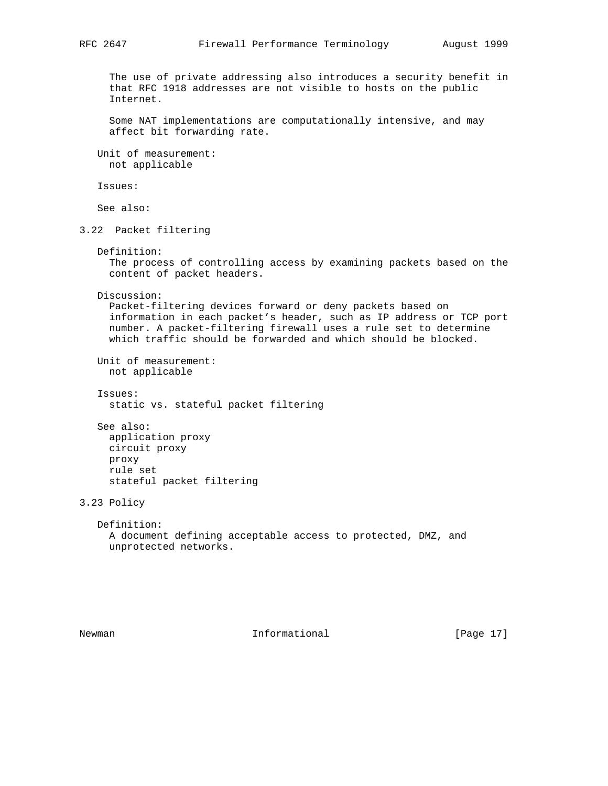The use of private addressing also introduces a security benefit in that RFC 1918 addresses are not visible to hosts on the public Internet. Some NAT implementations are computationally intensive, and may affect bit forwarding rate. Unit of measurement: not applicable Issues: See also: 3.22 Packet filtering Definition: The process of controlling access by examining packets based on the content of packet headers. Discussion: Packet-filtering devices forward or deny packets based on information in each packet's header, such as IP address or TCP port number. A packet-filtering firewall uses a rule set to determine which traffic should be forwarded and which should be blocked. Unit of measurement: not applicable Issues: static vs. stateful packet filtering See also: application proxy circuit proxy proxy rule set stateful packet filtering 3.23 Policy Definition: A document defining acceptable access to protected, DMZ, and unprotected networks.

Newman 10 1nformational [Page 17]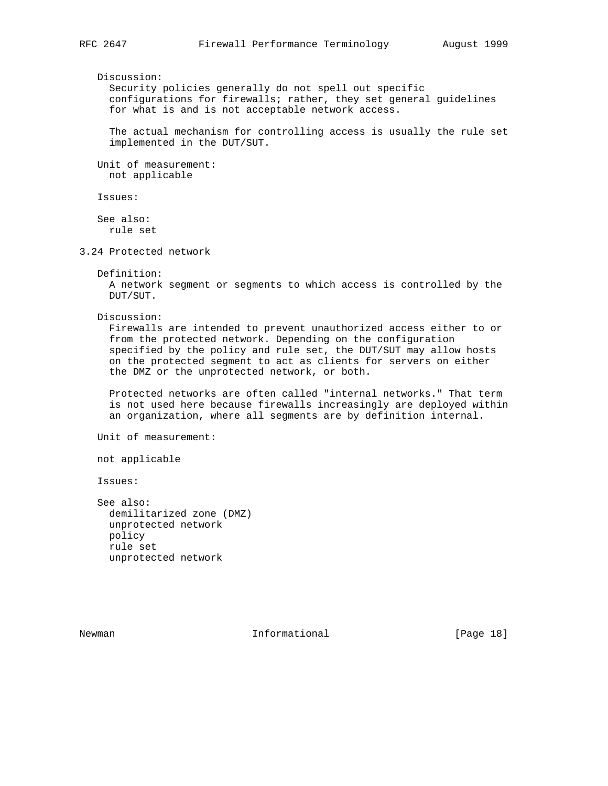Discussion:

 Security policies generally do not spell out specific configurations for firewalls; rather, they set general guidelines for what is and is not acceptable network access.

 The actual mechanism for controlling access is usually the rule set implemented in the DUT/SUT.

 Unit of measurement: not applicable

Issues:

 See also: rule set

3.24 Protected network

Definition:

 A network segment or segments to which access is controlled by the DUT/SUT.

Discussion:

 Firewalls are intended to prevent unauthorized access either to or from the protected network. Depending on the configuration specified by the policy and rule set, the DUT/SUT may allow hosts on the protected segment to act as clients for servers on either the DMZ or the unprotected network, or both.

 Protected networks are often called "internal networks." That term is not used here because firewalls increasingly are deployed within an organization, where all segments are by definition internal.

Unit of measurement:

not applicable

Issues:

 See also: demilitarized zone (DMZ) unprotected network policy rule set unprotected network

Newman 10 1nformational [Page 18]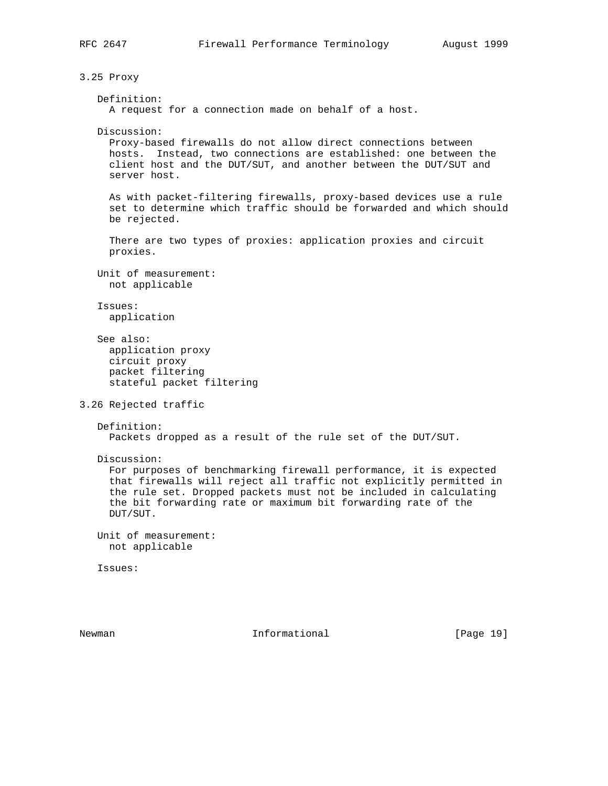3.25 Proxy Definition: A request for a connection made on behalf of a host. Discussion: Proxy-based firewalls do not allow direct connections between hosts. Instead, two connections are established: one between the client host and the DUT/SUT, and another between the DUT/SUT and server host. As with packet-filtering firewalls, proxy-based devices use a rule set to determine which traffic should be forwarded and which should be rejected. There are two types of proxies: application proxies and circuit proxies. Unit of measurement: not applicable Issues: application See also: application proxy circuit proxy packet filtering stateful packet filtering 3.26 Rejected traffic Definition: Packets dropped as a result of the rule set of the DUT/SUT. Discussion: For purposes of benchmarking firewall performance, it is expected that firewalls will reject all traffic not explicitly permitted in the rule set. Dropped packets must not be included in calculating the bit forwarding rate or maximum bit forwarding rate of the DUT/SUT. Unit of measurement: not applicable Issues: Newman 10 1nformational [Page 19]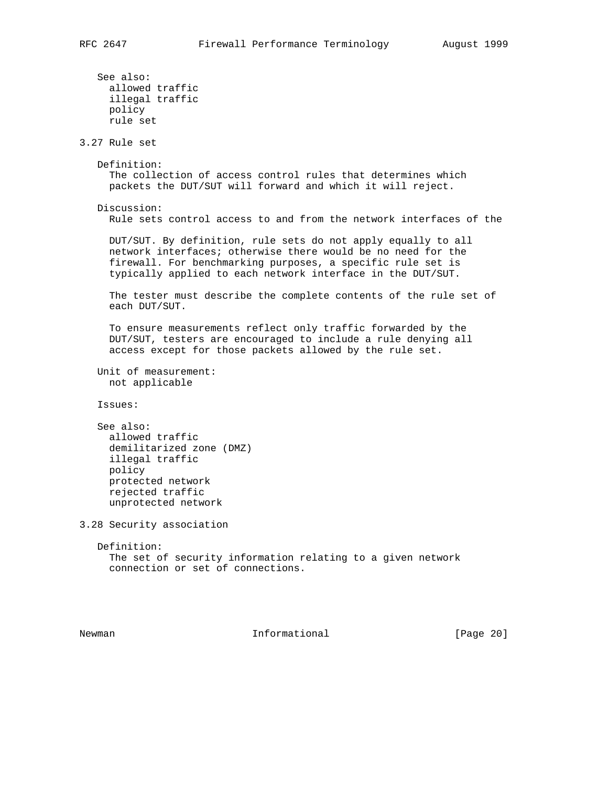```
 See also:
     allowed traffic
      illegal traffic
     policy
     rule set
3.27 Rule set
   Definition:
      The collection of access control rules that determines which
      packets the DUT/SUT will forward and which it will reject.
   Discussion:
      Rule sets control access to and from the network interfaces of the
      DUT/SUT. By definition, rule sets do not apply equally to all
      network interfaces; otherwise there would be no need for the
      firewall. For benchmarking purposes, a specific rule set is
     typically applied to each network interface in the DUT/SUT.
     The tester must describe the complete contents of the rule set of
     each DUT/SUT.
      To ensure measurements reflect only traffic forwarded by the
     DUT/SUT, testers are encouraged to include a rule denying all
      access except for those packets allowed by the rule set.
   Unit of measurement:
     not applicable
   Issues:
   See also:
     allowed traffic
     demilitarized zone (DMZ)
     illegal traffic
     policy
     protected network
      rejected traffic
     unprotected network
3.28 Security association
   Definition:
     The set of security information relating to a given network
      connection or set of connections.
```
Newman 10 1nformational [Page 20]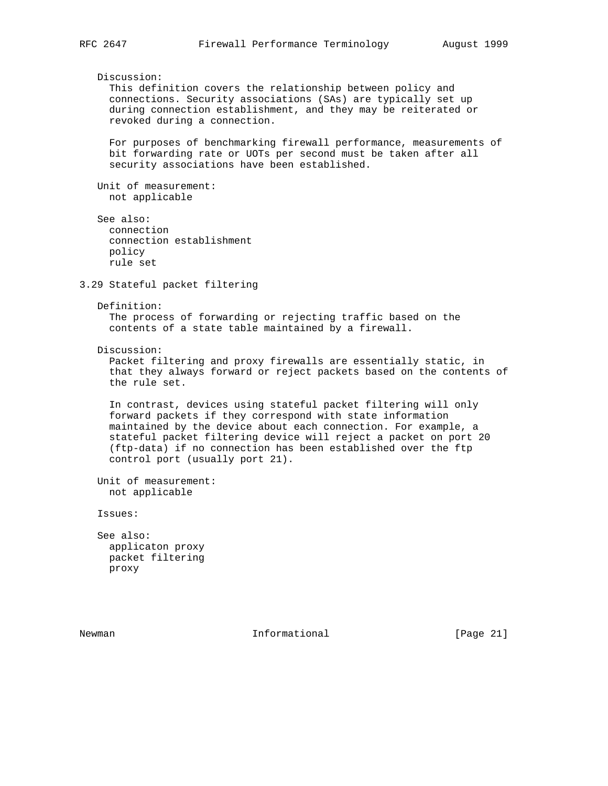Discussion: This definition covers the relationship between policy and connections. Security associations (SAs) are typically set up during connection establishment, and they may be reiterated or revoked during a connection. For purposes of benchmarking firewall performance, measurements of bit forwarding rate or UOTs per second must be taken after all security associations have been established. Unit of measurement: not applicable See also: connection connection establishment policy rule set 3.29 Stateful packet filtering Definition: The process of forwarding or rejecting traffic based on the contents of a state table maintained by a firewall. Discussion: Packet filtering and proxy firewalls are essentially static, in that they always forward or reject packets based on the contents of the rule set. In contrast, devices using stateful packet filtering will only forward packets if they correspond with state information maintained by the device about each connection. For example, a stateful packet filtering device will reject a packet on port 20 (ftp-data) if no connection has been established over the ftp control port (usually port 21). Unit of measurement: not applicable Issues: See also: applicaton proxy packet filtering proxy

Newman 10 1nformational [Page 21]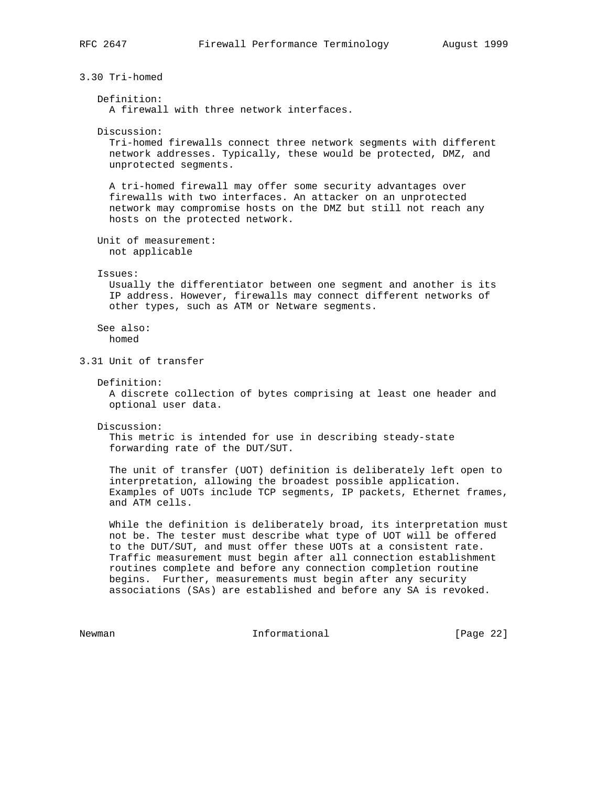3.30 Tri-homed Definition: A firewall with three network interfaces. Discussion: Tri-homed firewalls connect three network segments with different network addresses. Typically, these would be protected, DMZ, and unprotected segments. A tri-homed firewall may offer some security advantages over firewalls with two interfaces. An attacker on an unprotected network may compromise hosts on the DMZ but still not reach any hosts on the protected network. Unit of measurement: not applicable Issues: Usually the differentiator between one segment and another is its IP address. However, firewalls may connect different networks of other types, such as ATM or Netware segments. See also: homed 3.31 Unit of transfer Definition: A discrete collection of bytes comprising at least one header and optional user data. Discussion: This metric is intended for use in describing steady-state forwarding rate of the DUT/SUT. The unit of transfer (UOT) definition is deliberately left open to interpretation, allowing the broadest possible application. Examples of UOTs include TCP segments, IP packets, Ethernet frames, and ATM cells. While the definition is deliberately broad, its interpretation must not be. The tester must describe what type of UOT will be offered to the DUT/SUT, and must offer these UOTs at a consistent rate. Traffic measurement must begin after all connection establishment routines complete and before any connection completion routine begins. Further, measurements must begin after any security associations (SAs) are established and before any SA is revoked. Newman 10 1nformational 1999 [Page 22]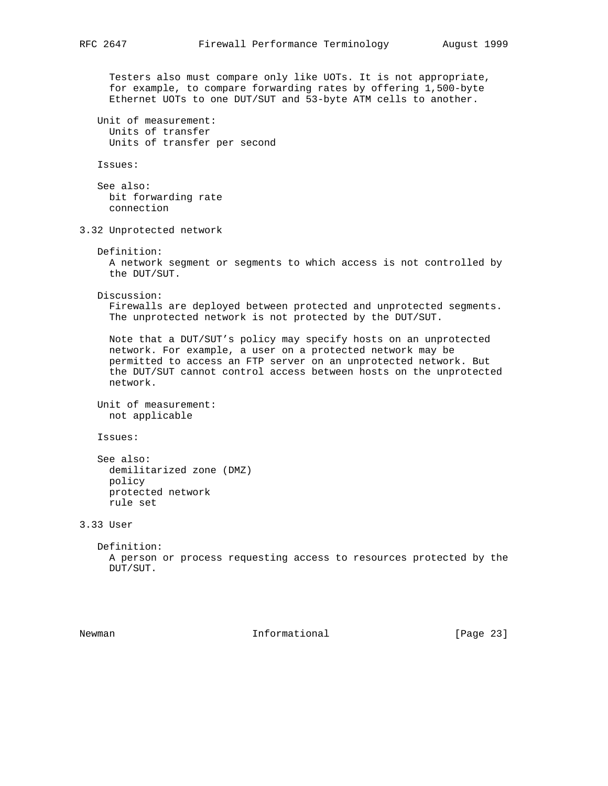```
 Testers also must compare only like UOTs. It is not appropriate,
      for example, to compare forwarding rates by offering 1,500-byte
      Ethernet UOTs to one DUT/SUT and 53-byte ATM cells to another.
   Unit of measurement:
     Units of transfer
     Units of transfer per second
    Issues:
    See also:
     bit forwarding rate
      connection
3.32 Unprotected network
   Definition:
     A network segment or segments to which access is not controlled by
     the DUT/SUT.
    Discussion:
      Firewalls are deployed between protected and unprotected segments.
      The unprotected network is not protected by the DUT/SUT.
     Note that a DUT/SUT's policy may specify hosts on an unprotected
     network. For example, a user on a protected network may be
      permitted to access an FTP server on an unprotected network. But
      the DUT/SUT cannot control access between hosts on the unprotected
     network.
   Unit of measurement:
     not applicable
    Issues:
    See also:
     demilitarized zone (DMZ)
     policy
     protected network
     rule set
3.33 User
    Definition:
     A person or process requesting access to resources protected by the
     DUT/SUT.
```
Newman 10 1nformational 1999 [Page 23]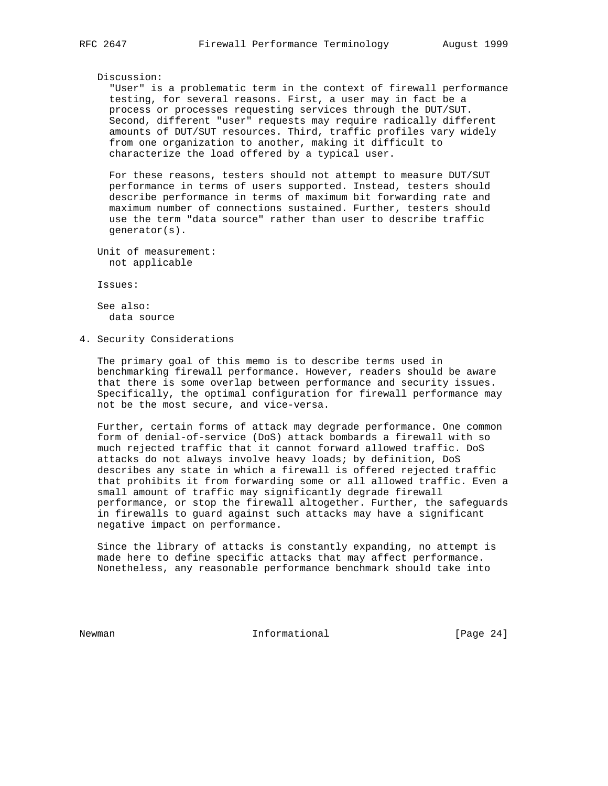#### Discussion:

 "User" is a problematic term in the context of firewall performance testing, for several reasons. First, a user may in fact be a process or processes requesting services through the DUT/SUT. Second, different "user" requests may require radically different amounts of DUT/SUT resources. Third, traffic profiles vary widely from one organization to another, making it difficult to characterize the load offered by a typical user.

 For these reasons, testers should not attempt to measure DUT/SUT performance in terms of users supported. Instead, testers should describe performance in terms of maximum bit forwarding rate and maximum number of connections sustained. Further, testers should use the term "data source" rather than user to describe traffic generator(s).

 Unit of measurement: not applicable

Issues:

 See also: data source

4. Security Considerations

 The primary goal of this memo is to describe terms used in benchmarking firewall performance. However, readers should be aware that there is some overlap between performance and security issues. Specifically, the optimal configuration for firewall performance may not be the most secure, and vice-versa.

 Further, certain forms of attack may degrade performance. One common form of denial-of-service (DoS) attack bombards a firewall with so much rejected traffic that it cannot forward allowed traffic. DoS attacks do not always involve heavy loads; by definition, DoS describes any state in which a firewall is offered rejected traffic that prohibits it from forwarding some or all allowed traffic. Even a small amount of traffic may significantly degrade firewall performance, or stop the firewall altogether. Further, the safeguards in firewalls to guard against such attacks may have a significant negative impact on performance.

 Since the library of attacks is constantly expanding, no attempt is made here to define specific attacks that may affect performance. Nonetheless, any reasonable performance benchmark should take into

Newman 10 1nformational [Page 24]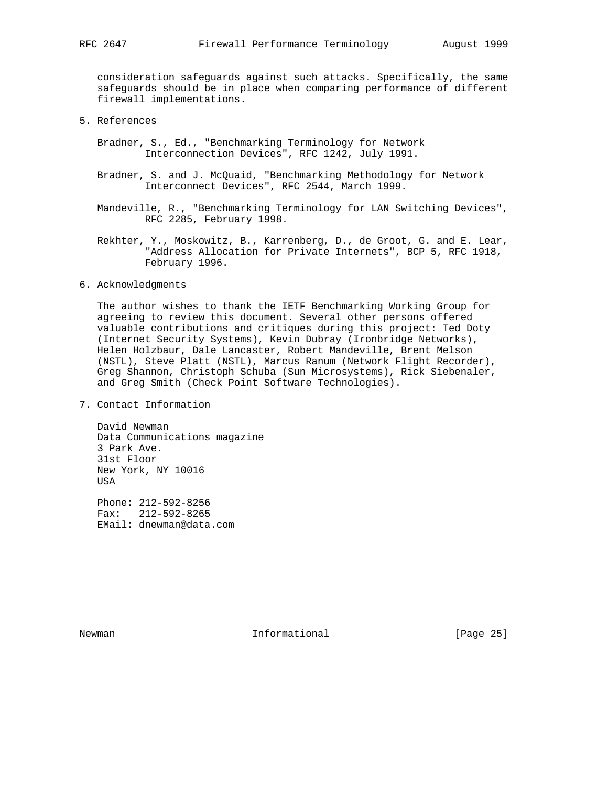consideration safeguards against such attacks. Specifically, the same safeguards should be in place when comparing performance of different firewall implementations.

- 5. References
	- Bradner, S., Ed., "Benchmarking Terminology for Network Interconnection Devices", RFC 1242, July 1991.
	- Bradner, S. and J. McQuaid, "Benchmarking Methodology for Network Interconnect Devices", RFC 2544, March 1999.
	- Mandeville, R., "Benchmarking Terminology for LAN Switching Devices", RFC 2285, February 1998.
	- Rekhter, Y., Moskowitz, B., Karrenberg, D., de Groot, G. and E. Lear, "Address Allocation for Private Internets", BCP 5, RFC 1918, February 1996.
- 6. Acknowledgments

 The author wishes to thank the IETF Benchmarking Working Group for agreeing to review this document. Several other persons offered valuable contributions and critiques during this project: Ted Doty (Internet Security Systems), Kevin Dubray (Ironbridge Networks), Helen Holzbaur, Dale Lancaster, Robert Mandeville, Brent Melson (NSTL), Steve Platt (NSTL), Marcus Ranum (Network Flight Recorder), Greg Shannon, Christoph Schuba (Sun Microsystems), Rick Siebenaler, and Greg Smith (Check Point Software Technologies).

7. Contact Information

 David Newman Data Communications magazine 3 Park Ave. 31st Floor New York, NY 10016 USA

 Phone: 212-592-8256 Fax: 212-592-8265 EMail: dnewman@data.com

Newman 10 1nformational [Page 25]